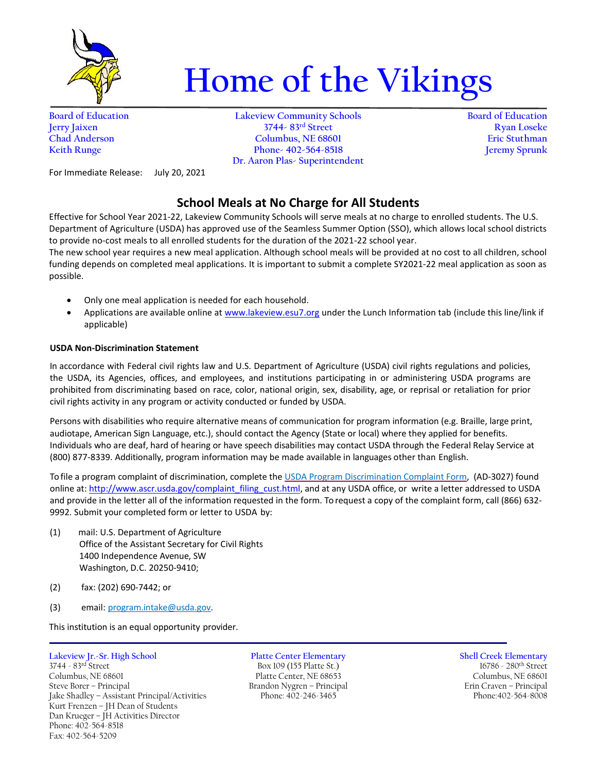

# **Home of the Vikings**

**Board of Education Lakeview Community Schools Board of Education Jerry Jaixen 3744- 83rd Street Ryan Loseke Chad Anderson Columbus, NE 68601 Eric Stuthman Keith Runge Phone- 402-564-8518 Jeremy Sprunk Dr. Aaron Plas- Superintendent**

For Immediate Release: July 20, 2021

## **School Meals at No Charge for All Students**

Effective for School Year 2021-22, Lakeview Community Schools will serve meals at no charge to enrolled students. The U.S. Department of Agriculture (USDA) has approved use of the Seamless Summer Option (SSO), which allows local school districts to provide no-cost meals to all enrolled students for the duration of the 2021-22 school year.

The new school year requires a new meal application. Although school meals will be provided at no cost to all children, school funding depends on completed meal applications. It is important to submit a complete SY2021-22 meal application as soon as possible.

- Only one meal application is needed for each household.
- Applications are available online a[t www.lakeview.esu7.org](http://www.lakeview.esu7.org/) under the Lunch Information tab (include this line/link if applicable)

#### **USDA Non-Discrimination Statement**

In accordance with Federal civil rights law and U.S. Department of Agriculture (USDA) civil rights regulations and policies, the USDA, its Agencies, offices, and employees, and institutions participating in or administering USDA programs are prohibited from discriminating based on race, color, national origin, sex, disability, age, or reprisal or retaliation for prior civil rights activity in any program or activity conducted or funded by USDA.

Persons with disabilities who require alternative means of communication for program information (e.g. Braille, large print, audiotape, American Sign Language, etc.), should contact the Agency (State or local) where they applied for benefits. Individuals who are deaf, hard of hearing or have speech disabilities may contact USDA through the Federal Relay Service at (800) 877-8339. Additionally, program information may be made available in languages other than English.

To file a program complaint of discrimination, complete the [USDA Program Discrimination Complaint Form,](http://www.ocio.usda.gov/sites/default/files/docs/2012/Complain_combined_6_8_12.pdf) (AD-3027) found online at: http://www.ascr.usda.gov/complaint filing cust.html, and at any USDA office, or write a letter addressed to USDA and provide in the letter all of the information requested in the form. To request a copy of the complaint form, call (866) 632- 9992. Submit your completed form or letter to USDA by:

- (1) mail: U.S. Department of Agriculture Office of the Assistant Secretary for Civil Rights 1400 Independence Avenue, SW Washington, D.C. 20250-9410;
- (2) fax: (202) 690-7442; or
- (3) email: [program.intake@usda.gov.](mailto:program.intake@usda.gov)

This institution is an equal opportunity provider.

**Lakeview Jr.-Sr. High School Platte Center Elementary Shell Creek Elementary** 3744 - 83<sup>rd</sup> Street Box 109 (155 Platte St.) 16786 - 280<sup>th</sup> Street Columbus, NE 68601 Platte Center, NE 68653 Columbus, NE 68601 Steve Borer – Principal Brandon Nygren – Principal Erin Craven – Principal Jake Shadley – Assistant Principal/Activities Phone: 402-246-3465 Phone: 402-246-3465 Jake Shadley - Assistant Principal/Activities Kurt Frenzen – JH Dean of Students Dan Krueger – JH Activities Director Phone: 402-564-8518 Fax: 402-564-5209